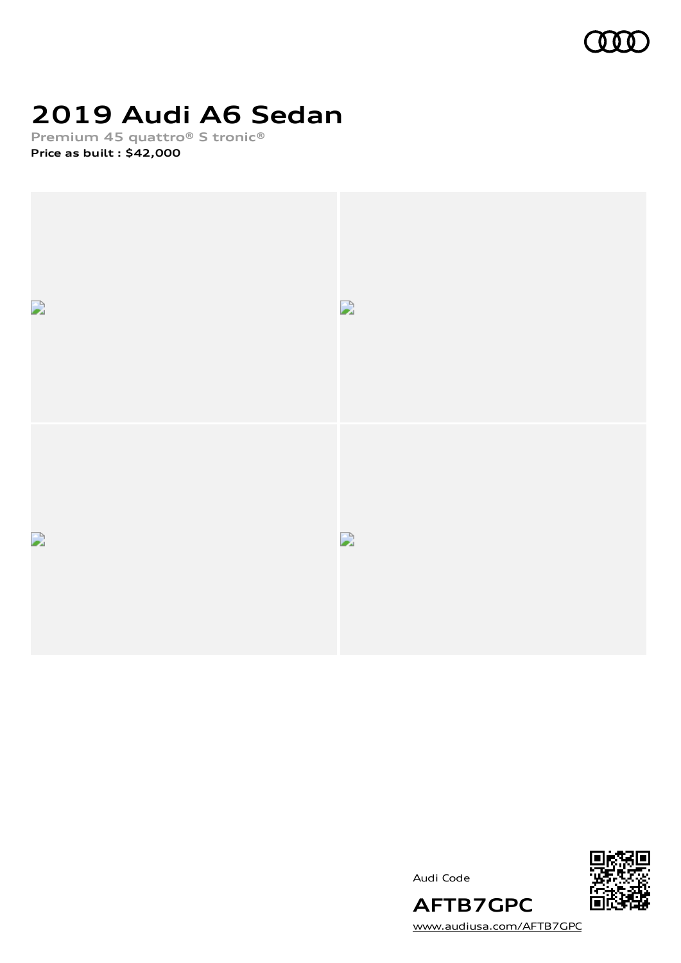

# **2019 Audi A6 Sedan**

**Premium 45 quattro® S tronic®**

**Price as built [:](#page-8-0) \$42,000**



Audi Code



[www.audiusa.com/AFTB7GPC](https://www.audiusa.com/AFTB7GPC)

**AFTB7GPC**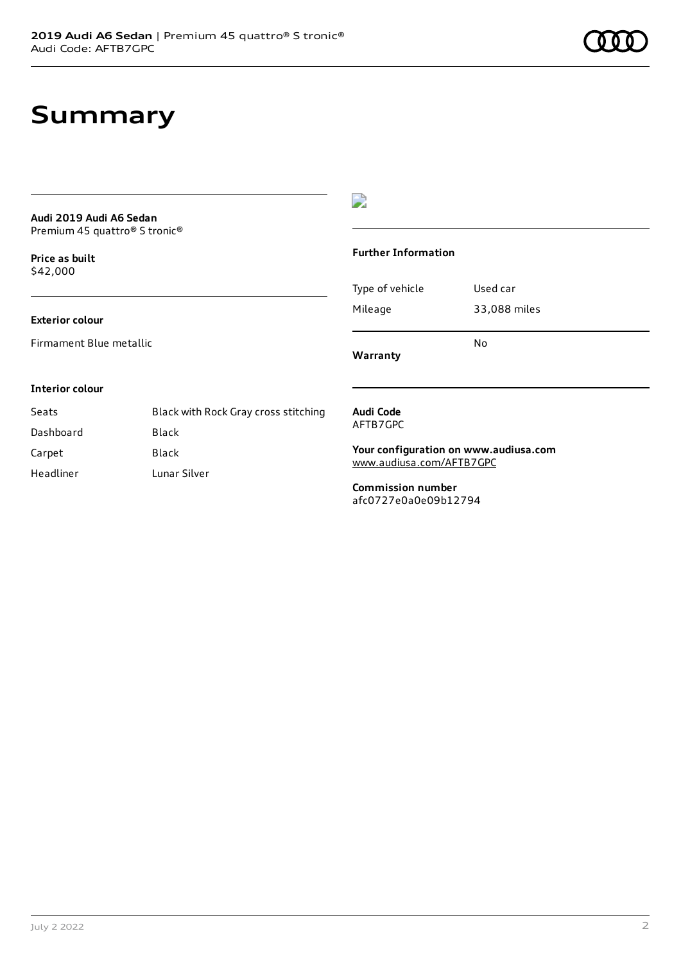## **Summary**

#### **Audi 2019 Audi A6 Sedan** Premium 45 quattro® S tronic®

**Price as buil[t](#page-8-0)** \$42,000

### **Exterior colour**

Firmament Blue metallic



#### **Further Information**

Type of vehicle Used car Mileage 33,088 miles No

**Warranty**

#### **Interior colour**

| Seats     | Black with Rock Gray cross stitching |
|-----------|--------------------------------------|
| Dashboard | Black                                |
| Carpet    | Black                                |
| Headliner | Lunar Silver                         |

#### **Audi Code** AFTB7GPC

**Your configuration on www.audiusa.com** [www.audiusa.com/AFTB7GPC](https://www.audiusa.com/AFTB7GPC)

**Commission number** afc0727e0a0e09b12794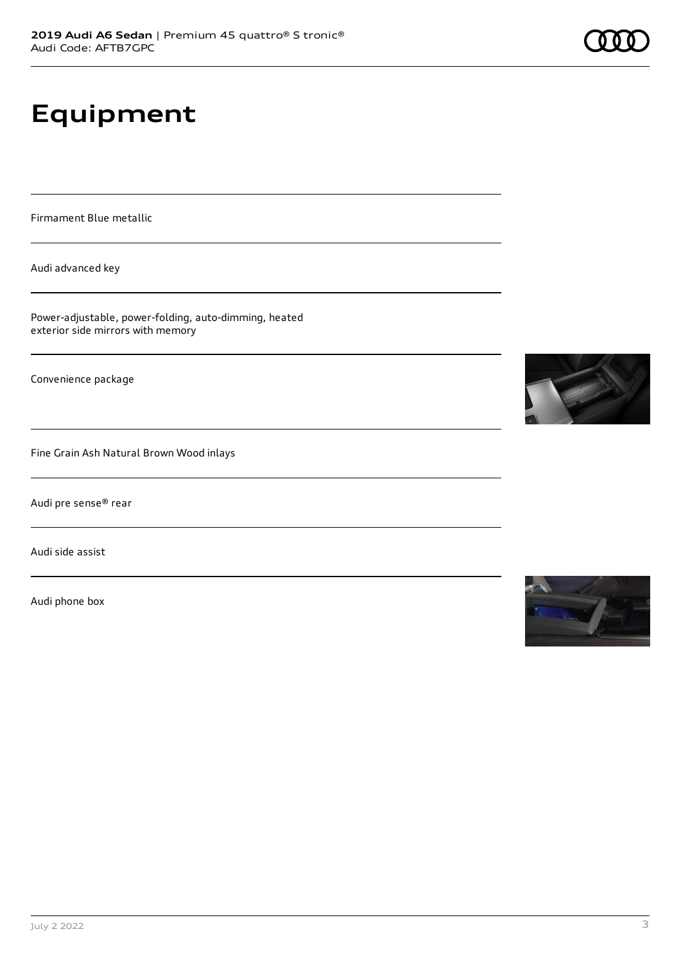# **Equipment**

Firmament Blue metallic

Audi advanced key

Power-adjustable, power-folding, auto-dimming, heated exterior side mirrors with memory

Convenience package

Fine Grain Ash Natural Brown Wood inlays

Audi pre sense® rear

Audi side assist

Audi phone box





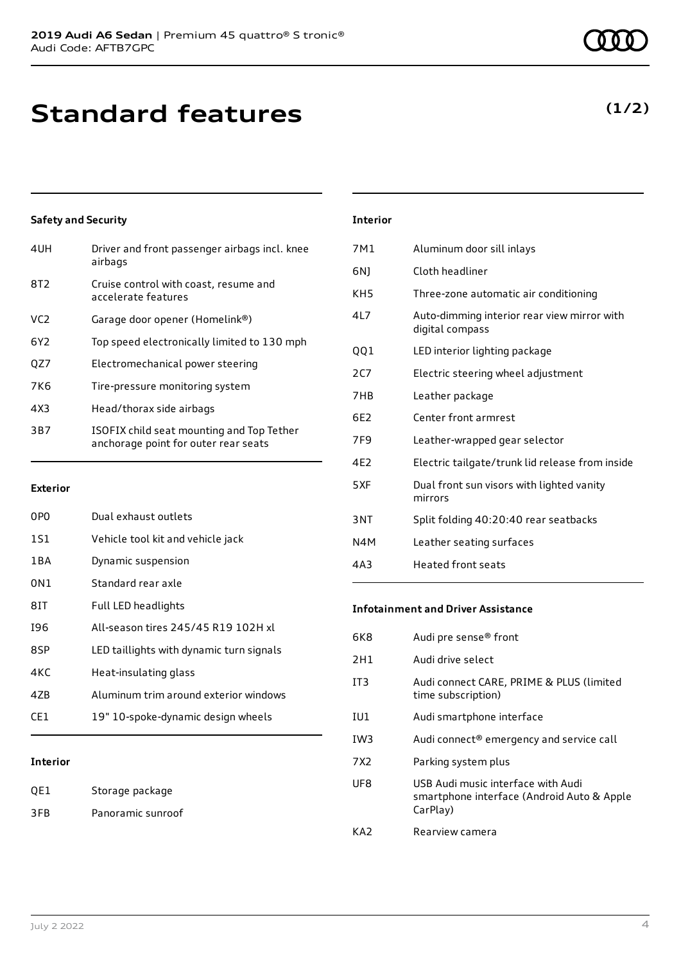## **Standard features**

### **Safety and Security**

| 4UH             | Driver and front passenger airbags incl. knee<br>airbags                          |
|-----------------|-----------------------------------------------------------------------------------|
| 8T <sub>2</sub> | Cruise control with coast, resume and<br>accelerate features                      |
| VC <sub>2</sub> | Garage door opener (Homelink®)                                                    |
| 6Y <sub>2</sub> | Top speed electronically limited to 130 mph                                       |
| QZ7             | Electromechanical power steering                                                  |
| 7K <sub>6</sub> | Tire-pressure monitoring system                                                   |
| 4X3             | Head/thorax side airbags                                                          |
| 3B7             | ISOFIX child seat mounting and Top Tether<br>anchorage point for outer rear seats |
|                 |                                                                                   |

#### **Exterior**

| 0PO   | Dual exhaust outlets                     |
|-------|------------------------------------------|
| 1S1   | Vehicle tool kit and vehicle jack        |
| 1 B A | Dynamic suspension                       |
| 0N1   | Standard rear axle                       |
| 81T   | Full LED headlights                      |
| 196   | All-season tires 245/45 R19 102H xl      |
| 8SP   | LED taillights with dynamic turn signals |
| 4KC   | Heat-insulating glass                    |
| 47B   | Aluminum trim around exterior windows    |
| CF1   | 19" 10-spoke-dynamic design wheels       |
|       |                                          |

### **Interior**

| QE1 | Storage package   |
|-----|-------------------|
| 3FB | Panoramic sunroof |

### **Interior**

| 7M1             | Aluminum door sill inlays                                      |
|-----------------|----------------------------------------------------------------|
| 6N)             | Cloth headliner                                                |
| KH <sub>5</sub> | Three-zone automatic air conditioning                          |
| 4L7             | Auto-dimming interior rear view mirror with<br>digital compass |
| QQ1             | LED interior lighting package                                  |
| 2CZ             | Electric steering wheel adjustment                             |
| 7HB             | Leather package                                                |
| 6F2             | Center front armrest                                           |
| 7F <sub>9</sub> | Leather-wrapped gear selector                                  |
| 4F <sub>2</sub> | Electric tailgate/trunk lid release from inside                |
| 5XF             | Dual front sun visors with lighted vanity<br>mirrors           |
| 3NT             | Split folding 40:20:40 rear seatbacks                          |
| N4M             | Leather seating surfaces                                       |
| 4A3             | <b>Heated front seats</b>                                      |
|                 |                                                                |

#### **Infotainment and Driver Assistance**

| 6K8             | Audi pre sense <sup>®</sup> front                                                            |
|-----------------|----------------------------------------------------------------------------------------------|
| 2H1             | Audi drive select                                                                            |
| IT <sub>3</sub> | Audi connect CARE, PRIME & PLUS (limited<br>time subscription)                               |
| IU1             | Audi smartphone interface                                                                    |
| IW <sub>3</sub> | Audi connect® emergency and service call                                                     |
| 7X2             | Parking system plus                                                                          |
| UF8             | USB Audi music interface with Audi<br>smartphone interface (Android Auto & Apple<br>CarPlay) |
| KA7             | Rearview camera                                                                              |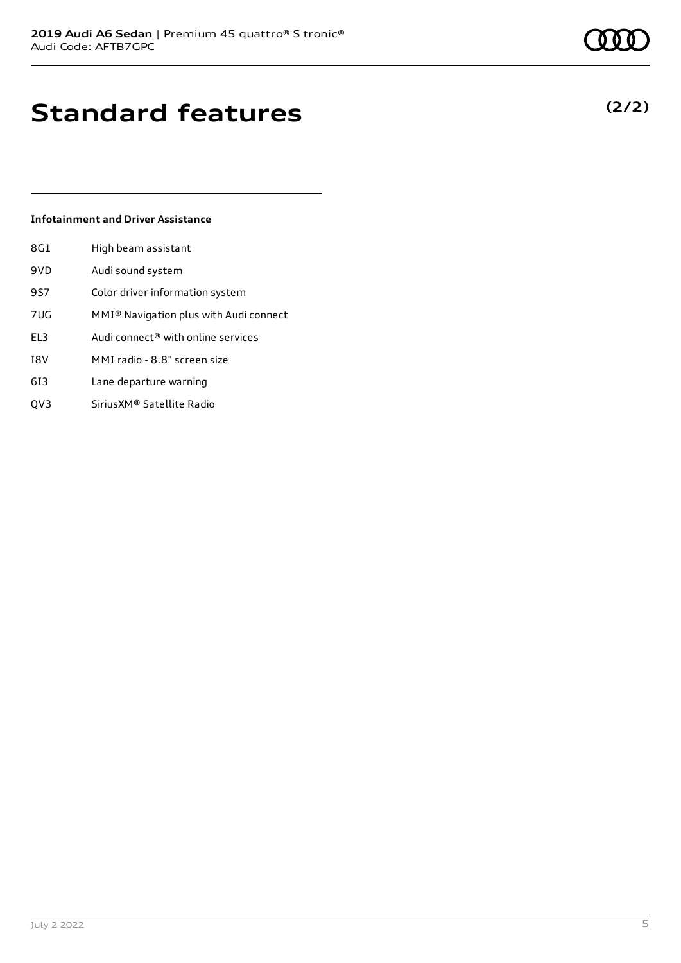## **Standard features**

### **Infotainment and Driver Assistance**

| 8G1 | High beam assistant                                |
|-----|----------------------------------------------------|
| 9VD | Audi sound system                                  |
| 9S7 | Color driver information system                    |
| 7UG | MMI <sup>®</sup> Navigation plus with Audi connect |
| EL3 | Audi connect® with online services                 |
| I8V | MMI radio - 8.8" screen size                       |
| 613 | Lane departure warning                             |
| OV3 | Sirius XM® Satellite Radio                         |

July 2 2022 5

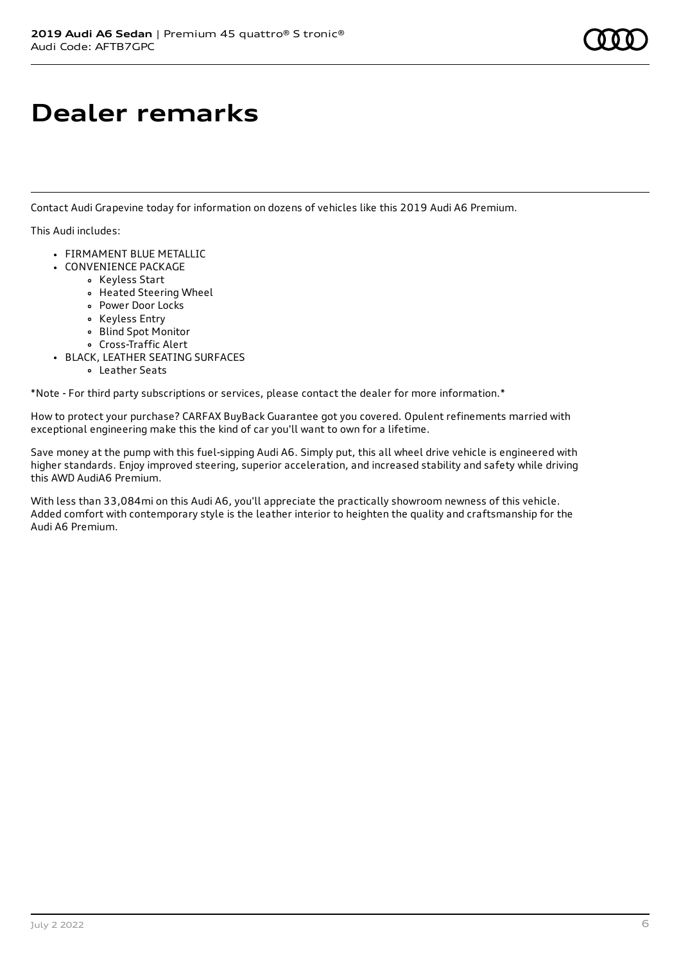# **Dealer remarks**

Contact Audi Grapevine today for information on dozens of vehicles like this 2019 Audi A6 Premium.

This Audi includes:

- FIRMAMENT BLUE METALLIC
- CONVENIENCE PACKAGE
	- Keyless Start
	- Heated Steering Wheel
	- Power Door Locks
	- Keyless Entry
	- Blind Spot Monitor
	- Cross-Traffic Alert
- BLACK, LEATHER SEATING SURFACES
	- Leather Seats

\*Note - For third party subscriptions or services, please contact the dealer for more information.\*

How to protect your purchase? CARFAX BuyBack Guarantee got you covered. Opulent refinements married with exceptional engineering make this the kind of car you'll want to own for a lifetime.

Save money at the pump with this fuel-sipping Audi A6. Simply put, this all wheel drive vehicle is engineered with higher standards. Enjoy improved steering, superior acceleration, and increased stability and safety while driving this AWD AudiA6 Premium.

With less than 33,084mi on this Audi A6, you'll appreciate the practically showroom newness of this vehicle. Added comfort with contemporary style is the leather interior to heighten the quality and craftsmanship for the Audi A6 Premium.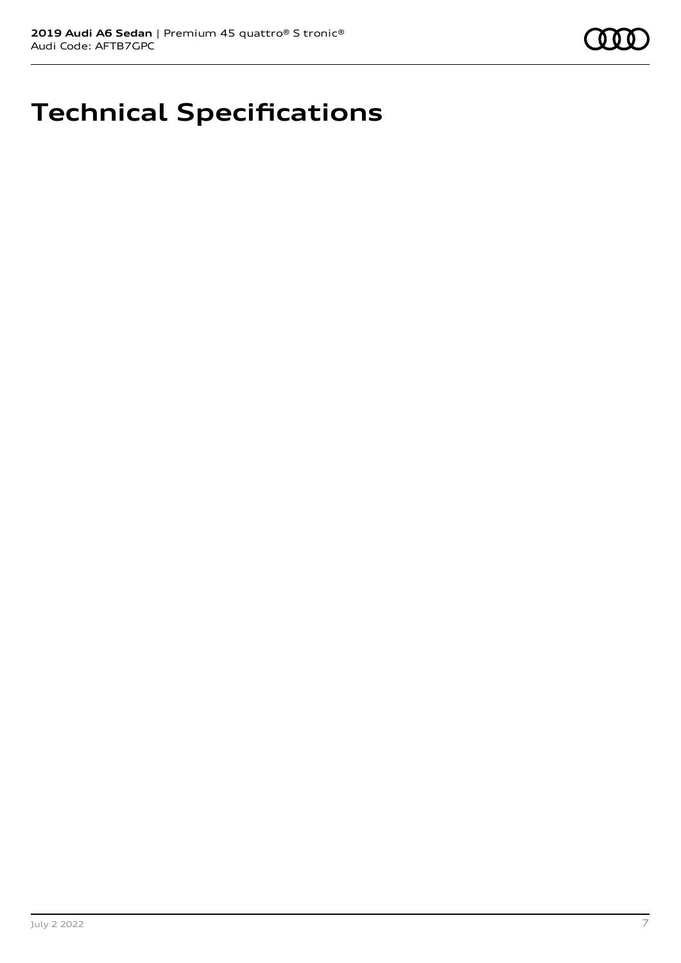# **Technical Specifications**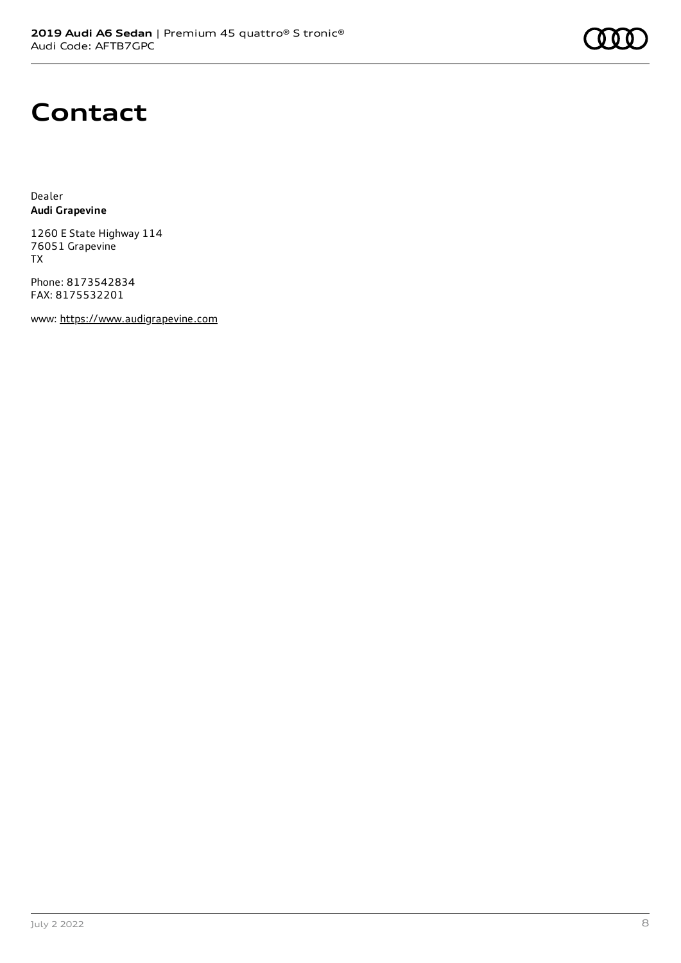## **Contact**

Dealer **Audi Grapevine**

1260 E State Highway 114 76051 Grapevine TX

Phone: 8173542834 FAX: 8175532201

www: [https://www.audigrapevine.com](https://www.audigrapevine.com/)